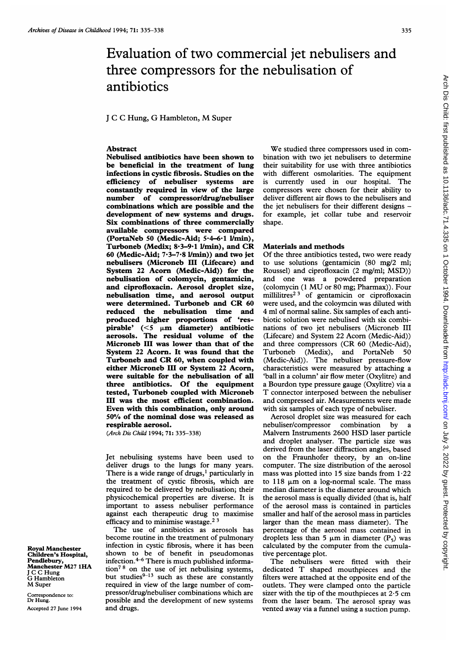# Evaluation of two commercial jet nebulisers and three compressors for the nebulisation of antibiotics

### <sup>J</sup> <sup>C</sup> <sup>C</sup> Hung, G Hambleton, M Super

## Abstract

Nebulised antibiotics have been shown to be beneficial in the treatment of lung infections in cystic fibrosis. Studies on the efficiency of nebuliser systems are constantly required in view of the large number of compressor/drug/nebuliser combinations which are possible and the development of new systems and drugs. Six combinations of three commercially available compressors were compared (PortaNeb 50 (Medic-Aid; 5-4-6-1 I/min), Turboneb (Medix; 8.3-9.1 l/min), and CR 60 (Medic-Aid; 7-3-7-8 l/min)) and two jet nebulisers (Microneb III (Lifecare) and System 22 Acorn (Medic-Aid)) for the nebulisation of colomycin, gentamicin, and ciprofloxacin. Aerosol droplet size, nebulisation time, and aerosol output were determined. Turboneb and CR <sup>60</sup> reduced the nebulisation time and produced higher proportions of 'respirable'  $(<5 \mu m$  diameter) antibiotic aerosols. The residual volume of the Microneb III was lower than that of the System 22 Acorn. It was found that the Turboneb and CR 60, when coupled with either Microneb III or System 22 Acorn, were suitable for the nebulisation of all three antibiotics. Of the equipment tested, Turboneb coupled with Microneb III was the most efficient combination. Even with this combination, only around 50% of the nominal dose was released as respirable aerosol.

(Arch Dis Child 1994; 71: 335-338)

Jet nebulising systems have been used to deliver drugs to the lungs for many years. There is a wide range of drugs,<sup>1</sup> particularly in the treatment of cystic fibrosis, which are required to be delivered by nebulisation; their physicochemical properties are diverse. It is important to assess nebuliser performance against each therapeutic drug to maximise efficacy and to minimise wastage.<sup>23</sup>

The use of antibiotics as aerosols has become routine in the treatment of pulmonary infection in cystic fibrosis, where it has been shown to be of benefit in pseudomonas infection. $4-6$  There is much published informa- $\arctan^{7.8}$  on the use of jet nebulising systems, but studies $9-13$  such as these are constantly required in view of the large number of compressor/drug/nebuliser combinations which are possible and the development of new systems and drugs.

We studied three compressors used in combination with two jet nebulisers to determine their suitability for use with three antibiotics with different osmolarities. The equipment is currently used in our hospital. The compressors were chosen for their ability to deliver different air flows to the nebulisers and the jet nebulisers for their different designs for example, jet collar tube and reservoir shape.

### Materials and methods

Of the three antibiotics tested, two were ready to use solutions (gentamicin (80 mg/2 ml; Roussel) and ciprofloxacin (2 mg/ml; MSD)) and one was a powdered preparation (colomycin (1 MU or <sup>80</sup> mg; Pharmax)). Four millilitres<sup>23</sup> of gentamicin or ciprofloxacin were used, and the coloymcin was diluted with 4 ml of normal saline. Six samples of each antibiotic solution were nebulised with six combinations of two jet nebulisers (Microneb III (Lifecare) and System 22 Acorn (Medic-Aid)) and three compressors (CR 60 (Medic-Aid), Turboneb (Medix), and PortaNeb 50 (Medic-Aid)). The nebuliser pressure-flow characteristics were measured by attaching a 'ball in a column' air flow meter (Oxylitre) and a Bourdon type pressure gauge (Oxylitre) via a T connector interposed between the nebuliser and compressed air. Measurements were made with six samples of each type of nebuliser.

Aerosol droplet size was measured for each nebuliser/compressor combination by a Malvern Instruments 2600 HSD laser particle and droplet analyser. The particle size was derived from the laser diffraction angles, based on the Fraunhofer theory, by an on-line computer. The size distribution of the aerosol mass was plotted into 15 size bands from  $1.22$ to  $118 \mu m$  on a log-normal scale. The mass median diameter is the diameter around which the aerosol mass is equally divided (that is, half of the aerosol mass is contained in particles smaller and half of the aerosol mass in particles larger than the mean mass diameter). The percentage of the aerosol mass contained in droplets less than 5  $\mu$ m in diameter (P<sub>5</sub>) was calculated by the computer from the cumulative percentage plot.

The nebulisers were fitted with their dedicated T shaped mouthpieces and the filters were attached at the opposite end of the outlets. They were clamped onto the particle sizer with the tip of the mouthpieces at  $2.5$  cm from the laser beam. The aerosol spray was vented away via a funnel using a suction pump.

Royal Manchester Children's Hospital, Pendlebury, Manchester M27 1HA <sup>J</sup> C C Hung G Hambleton M Super

Correspondence to: Dr Hung. Accepted 27 June 1994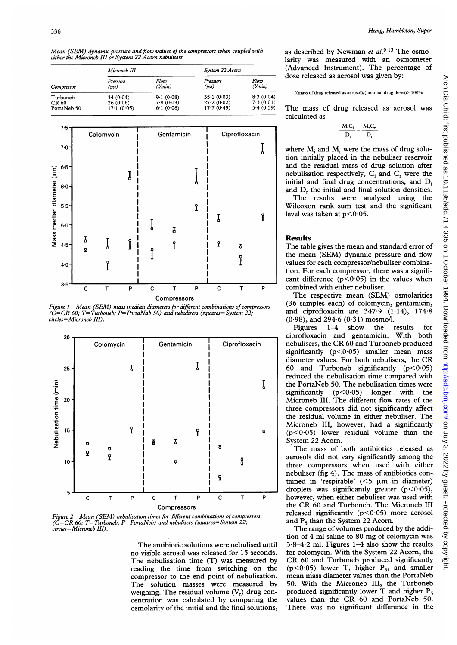Mean (SEM) dynamic pressure and flow values of the compressors when coupled with either the Microneb III or System <sup>22</sup> Acorn nebulisers

| Compressor                              | Microneb III                       |                                     | System 22 Acorn                        |                                     |
|-----------------------------------------|------------------------------------|-------------------------------------|----------------------------------------|-------------------------------------|
|                                         | Pressure<br>(psi)                  | Flow<br>(lmin)                      | Pressure<br>(psi)                      | Flow<br>(lmin)                      |
| Turboneb<br><b>CR 60</b><br>PortaNeb 50 | 34(0.04)<br>26(0.06)<br>17.1(0.05) | 9.1(0.08)<br>7.8(0.03)<br>6.1(0.08) | 35.1(0.03)<br>27.2(0.02)<br>17.7(0.49) | 8.3(0.04)<br>7.3(0.01)<br>5.4(0.59) |



*Mean (SEM) mass median diameters for different combinations of compressors* (36 samples each) of colomycin, gentamicin,  $60: T = Turbone$ .  $P = PortaNab 50$  and nebulisers (squares = System 22; and ciprofloxacin are 347.9 (1.14), 174  $\widetilde{C} = CR$  60; T= Turboneb; P= PortaNab 50) and nebulisers (squares= System 22; and ciprofloxacin are 347.9 (1.14), 174.8 Figure 1 circles=Microneb III).



Figure 2 Mean (SEM) nebulisation times for different combinations of compressors released significantly (p<005) in<br>  $C = CR$  60: T= Turboneb: P= PortaNeb) and nebulisers (squares = System 22: and P<sub>5</sub> than the System 22 Acor Figure 2 Intern (SEN) nebulisation times for different comonations of compressors and  $P_5$  than the System 22 Acorn.<br>(C=CR 60; T= Turboneb; P= PortaNeb) and nebulisers (squares= System 22; circles=Microneb III).

The antibiotic solutions were nebulised until no visible aerosol was released for 15 seconds. for colomycin. With the System 22 Acorn, the The nebulisation time (T) was measured by CR 60 and Turboneb produced significantly reading the time from switching on the  $(p<0.05)$  lower T, higher  $P_5$ , and smaller reading the time from switching on the  $(p<0.05)$  lower T, higher  $P_5$ , and smaller compressor to the end point of nebulisation. mean mass diameter values than the PortaNeb compressor to the end point of nebulisation.<br>The solution masses were measured by The solution masses were measured by 50. With the Microneb III, the Turboneb weighing. The residual volume  $(V_r)$  drug con-<br>produced significantly lower T and higher  $P_5$ centration was calculated by comparing the values than the CR 60 and PortaNeb 50.<br>osmolarity of the initial and the final solutions, There was no significant difference in the osmolarity of the initial and the final solutions,

as described by Newman et  $al.^{9}$  <sup>13</sup> The osmolarity was measured with an osmometer (Advanced Instrument). The percentage of dose released as aerosol was given by:

#### ((mass of drug released as aerosol)/(nominal drug dose)) $\times$ 100%

The mass of drug released as aerosol was calculated as

$$
-\frac{M_iC_i}{D_i} - \frac{M_rC_r}{D_r}
$$

where  $M_i$  and  $M_r$  were the mass of drug solution initially placed in the nebuliser reservoir and the residual mass of drug solution after nebulisation respectively,  $C_i$  and  $C_r$  were the initial and final drug concentrations, and D<sub>i</sub> and D<sub>r</sub> the initial and final solution densities.

The results were analysed using the Wilcoxon rank sum test and the significant level was taken at  $p < 0.05$ .

12 The table gives the mean and standard error of the mean (SEM) dynamic pressure and flow<br>
values for each compressor/nebuliser combinavalues for each compressor/nebuliser combination. For each compressor, there was a signifi-

Compressors<br>
Compressors<br>
Compressors<br>
Compressors<br>
Compressors<br>
Compressors<br>
Compressors<br>
Compressors<br>
Compressors<br>
Compressors<br>
Compress each of colomycin, gentamicin,  $(0.98)$ , and 294.6  $(0.31)$  mosmo/l.

Figures 1-4 show the results for significantly ( $p < 0.05$ ) smaller mean mass diameter values. For both nebulisers, the CR I reduced the nebulisation time compared with<br>
I the PortaNeb 50. The nebulisation times were the PortaNeb 50. The nebulisation times were significantly  $(p<0.05)$  longer with the three compressors did not significantly affect the residual volume in either nebuliser. The Microneb III, however, had a significantly

The mass of both antibiotics released as acrosols did not vary significantly among the  $\begin{array}{c|c|c|c|c|c} \hline \text{I} & \text{I} & \text{I} & \text{I} & \text{I} & \text{I} & \text{I} & \text{I} & \text{I} & \text{I} & \text{I} & \text{I} & \text{I} & \text{I} & \text{I} & \text{I} & \text{I} & \text{I} & \text{I} & \text{I} & \text{I} & \text{I} & \text{I} & \text{I} & \text{I} & \text{I} & \text{I} & \text{I} & \text{I} & \text{I} & \text{I} & \text{I} & \text{I} & \text$ tained in 'respirable' ( $\leq$ 5  $\mu$ m in diameter) droplets was significantly greater ( $p$ <0.05), Compressors the CR 60 and Turboneb. The Microneb III<br>contractions of compressors released significantly  $(p<0.05)$  more aerosol

The range of volumes produced by the addition of 4 ml saline to 80 mg of colomycin was  $3.8-4.2$  ml. Figures  $1-4$  also show the results produced significantly lower T and higher  $P_5$  values than the CR 60 and PortaNeb 50.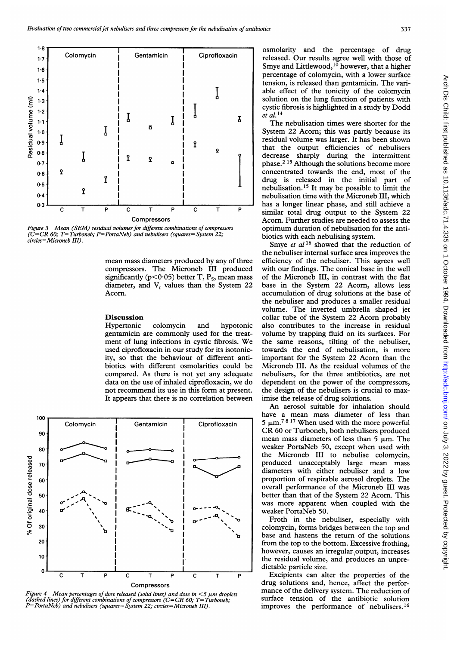

Figure 3 Mean (SEM) residual volumes for different combinations of compressors optimum duration of nebulisation for the anti- $(\tilde{C}=CR 60; T=Turboneb; P=PortaNeb)$  and nebulisers (squares=System 22; biotics with each nebulising system.<br>circles=Microneb III).

ment of lung infections in cystic fibrosis. We the same reasons, tilting of the nebuliser, used ciprofloxacin in our study for its isotonic- towards the end of nebulisation, is more used ciprofloxacin in our study for its isotonic- towards the end of nebulisation, is more ity, so that the behaviour of different anti- important for the System 22 Acorn than the biotics with different osmolarities could be Microneb III. As the residual volumes of the compared. As there is not yet any adequate nebulisers, for the three antibiotics, are not data on the use of inhaled ciprofloxacin, we do dependent on the power of the compressors, not recommend its use in this form at present. the design of the nebulisers is crucial to max-<br>It appears that there is no correlation between imise the release of drug solutions. It appears that there is no correlation between



Figure 4 Mean percentages of dose released (solid lines) and dose in  $\lt 5$  µm droplets<br>(dashed lines) for different combinations of compressors (C=CR 60; T=Turboneb;<br>Muslimary surface tension of the antibiotic solution P=PortaNeb) and nebulisers (squares=System 22; circles=Microneb III). improves the performance of nebulisers.<sup>16</sup>

able effect of the tonicity of the colomycin

 $\frac{1}{2}$  that the output efficiencies of nebulisers decrease sharply during the intermittent  $\begin{array}{ccc}\n\cdot & \cdot & \cdot & \cdot \\
\cdot & \cdot & \cdot & \cdot \\
\text{Compressors} & \text{Acorn. Further studies are needed to assess the\n}\end{array}$ Acorn. Further studies are needed to assess the

Smye et al  $16$  showed that the reduction of the nebuliser internal surface area improves the mean mass diameters produced by any of three efficiency of the nebuliser. This agrees well compressors. The Microneb III produced with our findings. The conical base in the well compressors. The Microneb III produced with our findings. The conical base in the well significantly ( $p < 0.05$ ) better T, P<sub>5</sub>, mean mass of the Microneb III, in contrast with the flat of the Microneb III, in contrast with the flat diameter, and V<sub>r</sub> values than the System 22 base in the System 22 Acorn, allows less Acorn. **Acorn.** Acorn. **accumulation of drug solutions at the base of**  $\alpha$ the nebuliser and produces a smaller residual volume. The inverted umbrella shaped jet **Discussion collar tube of the System 22 Acorn probably** Hypertonic colomycin and hypotonic also contributes to the increase in residual gentamicin are commonly used for the treat-<br>volume by trapping fluid on its surfaces. For volume by trapping fluid on its surfaces. For important for the System 22 Acorn than the

> An aerosol suitable for inhalation should 5  $\mu$ m.<sup>78 17</sup> When used with the more powerful mean mass diameters of less than  $5 \mu m$ . The the Microneb III to nebulise colomycin, diameters with either nebuliser and a low proportion of respirable aerosol droplets. The better than that of the System 22 Acorn. This was more apparent when coupled with the

> from the top to the bottom. Excessive frothing, however, causes an irregular output, increases<br>the residual volume, and produces an unpre-

Compressors drug solutions and, hence, affect the perfor-<br>
codid lines) and does in  $\leq$  5 um dropler mance of the delivery system. The reduction of